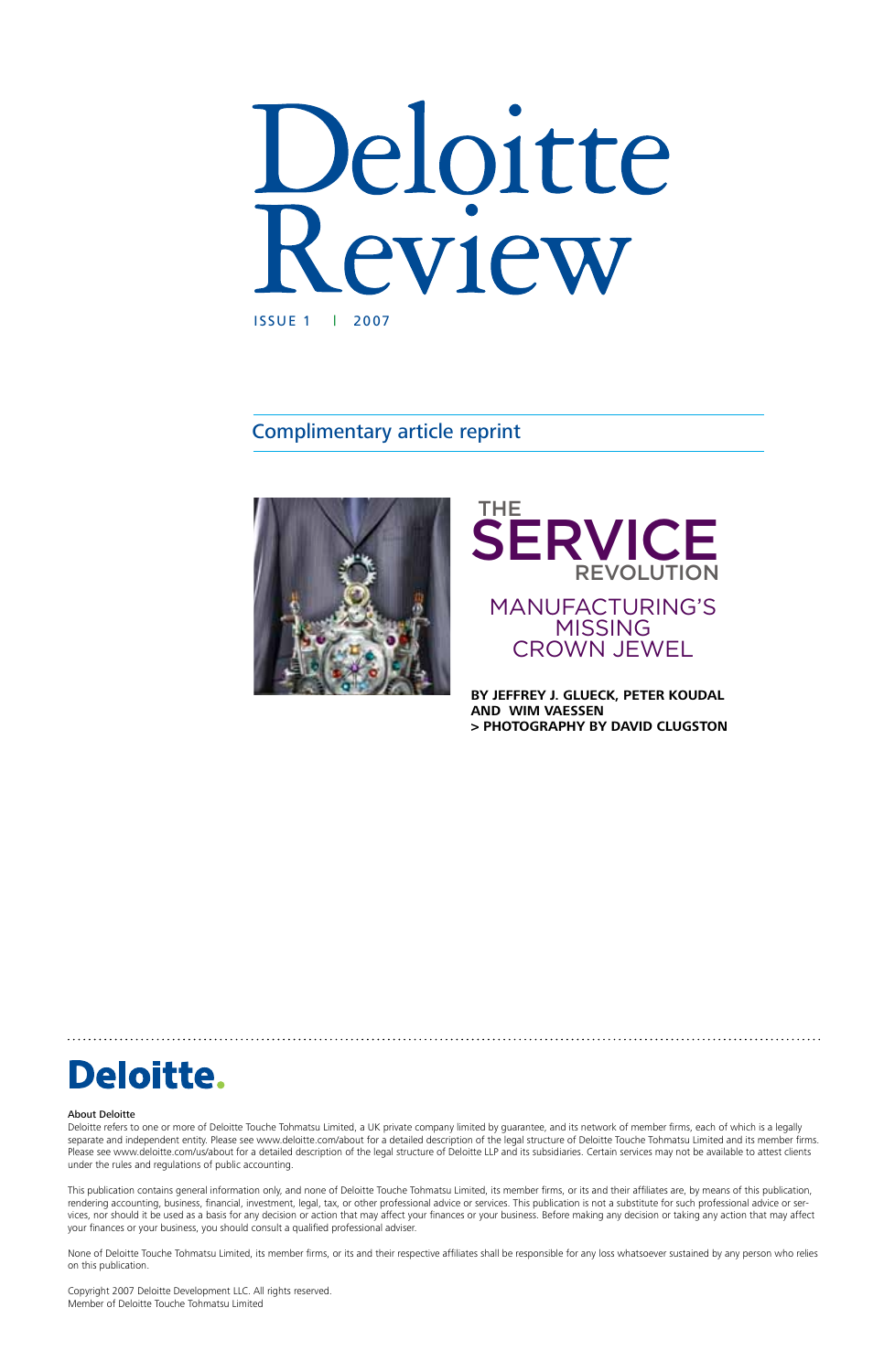

## Complimentary article reprint





**BY JEFFREY J. GLUECK, PETER KOUDAL AND WIM VAeSSEN > PHOTOGRAPHY BY DAVID CLUGSTON**

## **Deloitte.**

#### About Deloitte

Deloitte refers to one or more of Deloitte Touche Tohmatsu Limited, a UK private company limited by guarantee, and its network of member firms, each of which is a legally separate and independent entity. Please see www.deloitte.com/about for a detailed description of the legal structure of Deloitte Touche Tohmatsu Limited and its member firms. Please see www.deloitte.com/us/about for a detailed description of the legal structure of Deloitte LLP and its subsidiaries. Certain services may not be available to attest clients under the rules and regulations of public accounting.

This publication contains general information only, and none of Deloitte Touche Tohmatsu Limited, its member firms, or its and their affiliates are, by means of this publication, rendering accounting, business, financial, investment, legal, tax, or other professional advice or services. This publication is not a substitute for such professional advice or services, nor should it be used as a basis for any decision or action that may affect your finances or your business. Before making any decision or taking any action that may affect your finances or your business, you should consult a qualified professional adviser.

None of Deloitte Touche Tohmatsu Limited, its member firms, or its and their respective affiliates shall be responsible for any loss whatsoever sustained by any person who relies on this publication.

Copyright 2007 Deloitte Development LLC. All rights reserved. Member of Deloitte Touche Tohmatsu Limited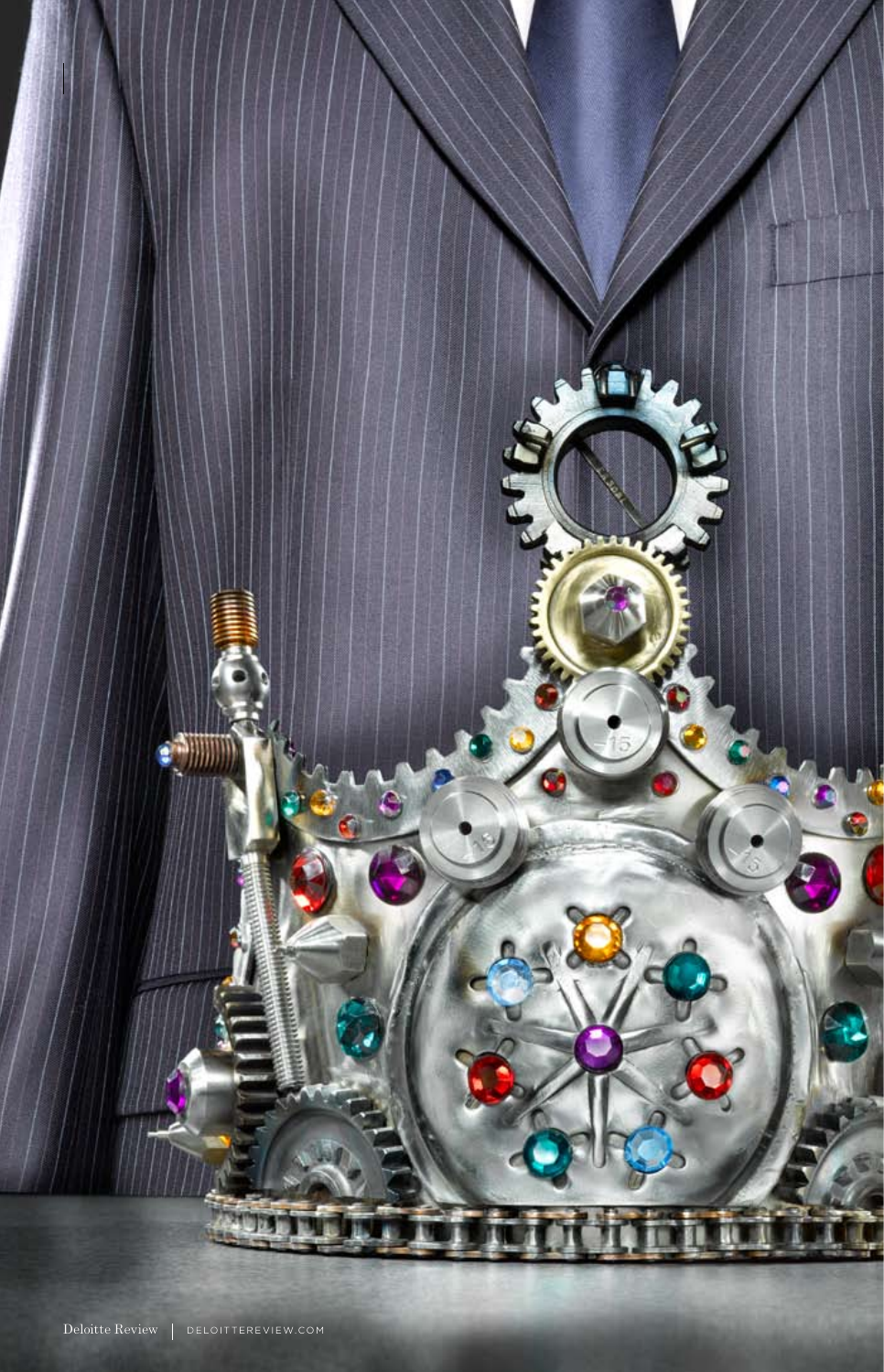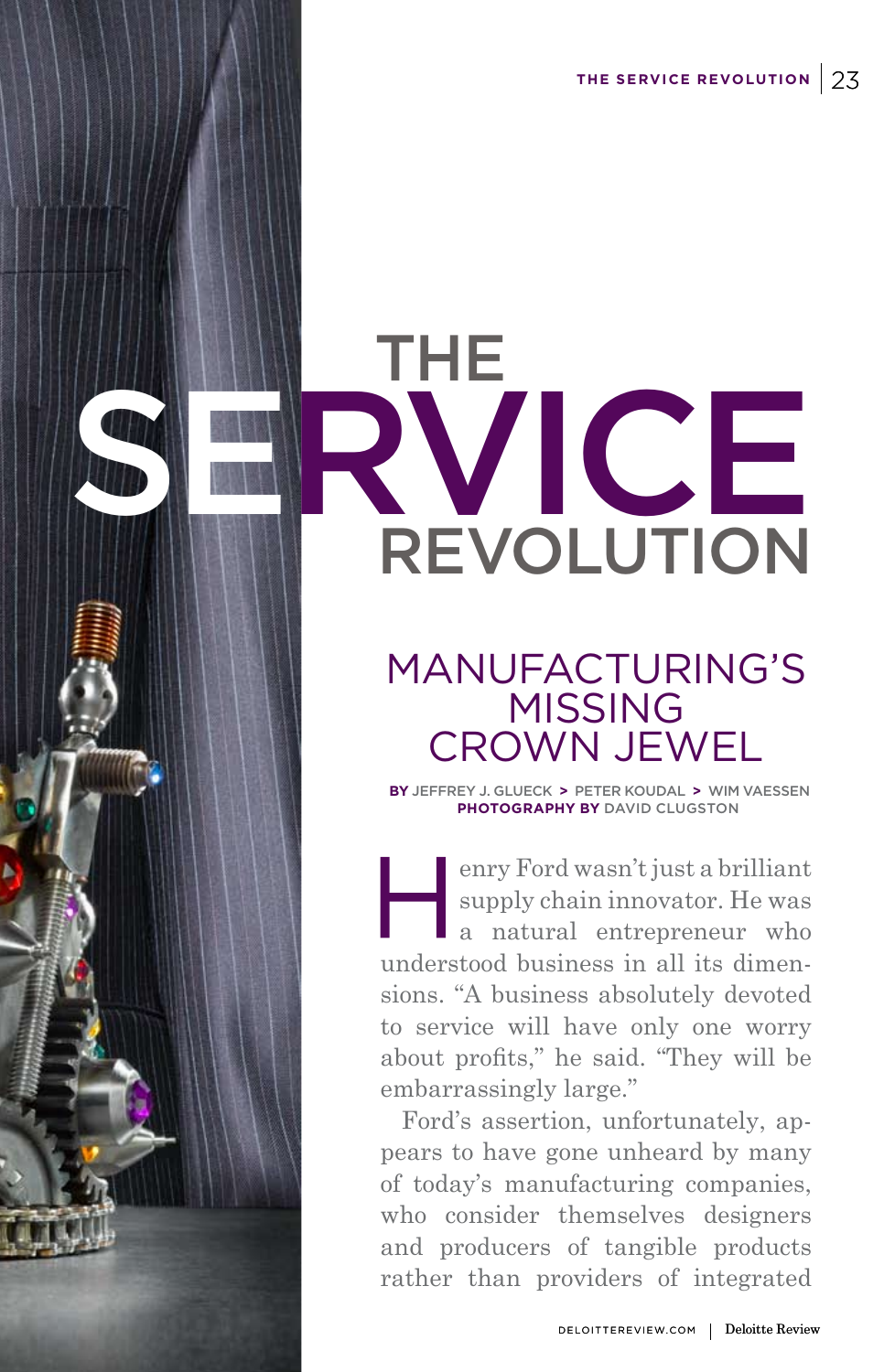# The RVICE Revolution

## MANUFACTURING'S MISSING CROWN JEWEL

 **BY** JEFFREY J. GLUECK **>** PETER KOUDAL **>** WIM VAeSSEN  **PHOTOGRAPHY BY** DAVID CLUGSTON

enry Ford wasn't just a brilliant supply chain innovator. He was a natural entrepreneur who understood business in all its dimensions. "A business absolutely devoted to service will have only one worry about profits," he said. "They will be embarrassingly large."

Ford's assertion, unfortunately, appears to have gone unheard by many of today's manufacturing companies, who consider themselves designers and producers of tangible products rather than providers of integrated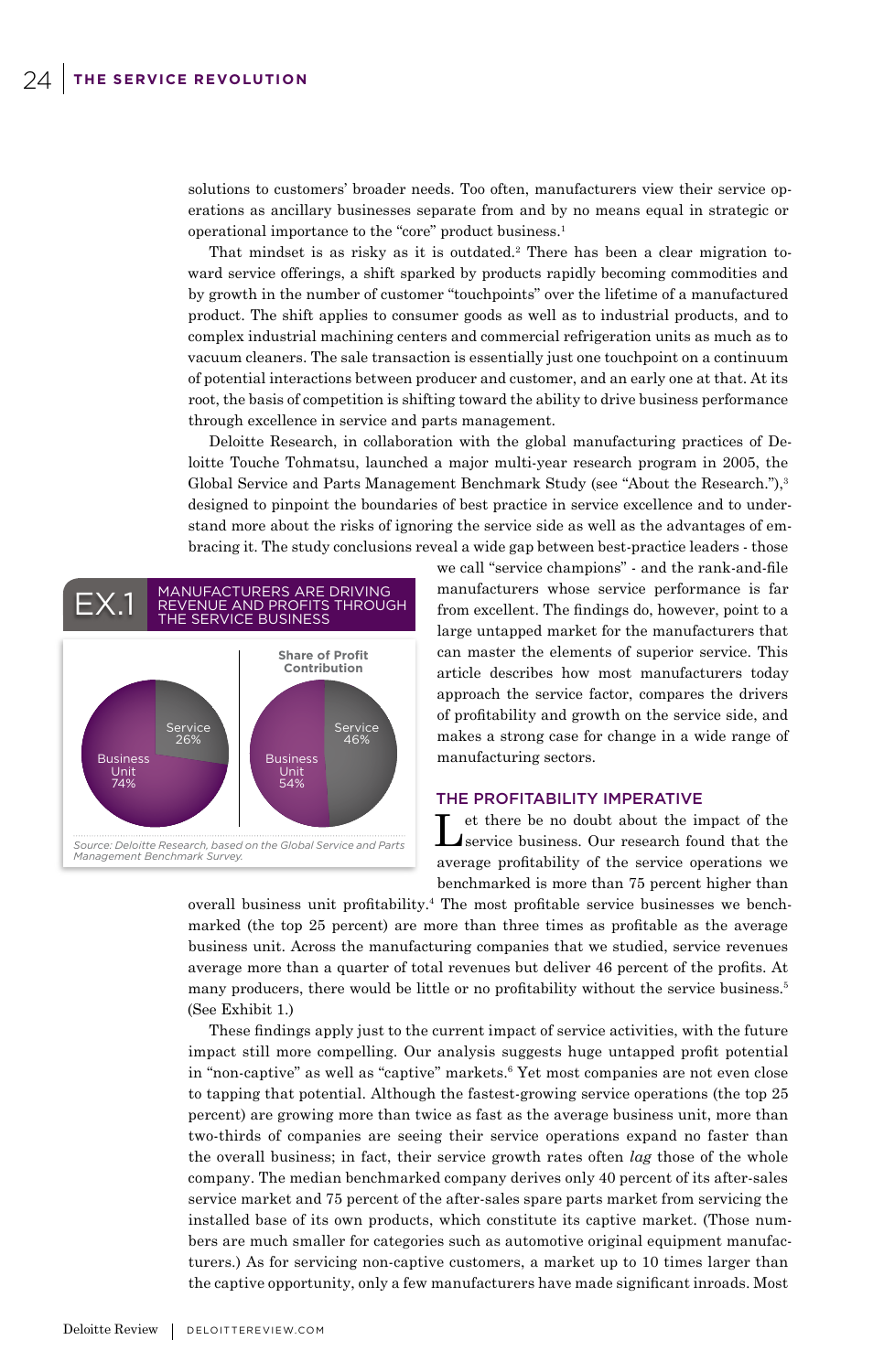solutions to customers' broader needs. Too often, manufacturers view their service operations as ancillary businesses separate from and by no means equal in strategic or operational importance to the "core" product business.<sup>1</sup>

That mindset is as risky as it is outdated.<sup>2</sup> There has been a clear migration toward service offerings, a shift sparked by products rapidly becoming commodities and by growth in the number of customer "touchpoints" over the lifetime of a manufactured product. The shift applies to consumer goods as well as to industrial products, and to complex industrial machining centers and commercial refrigeration units as much as to vacuum cleaners. The sale transaction is essentially just one touchpoint on a continuum of potential interactions between producer and customer, and an early one at that. At its root, the basis of competition is shifting toward the ability to drive business performance through excellence in service and parts management.

Deloitte Research, in collaboration with the global manufacturing practices of Deloitte Touche Tohmatsu, launched a major multi-year research program in 2005, the Global Service and Parts Management Benchmark Study (see "About the Research."),<sup>3</sup> designed to pinpoint the boundaries of best practice in service excellence and to understand more about the risks of ignoring the service side as well as the advantages of embracing it. The study conclusions reveal a wide gap between best-practice leaders - those



we call "service champions" - and the rank-and-file manufacturers whose service performance is far from excellent. The findings do, however, point to a large untapped market for the manufacturers that can master the elements of superior service. This article describes how most manufacturers today approach the service factor, compares the drivers of profitability and growth on the service side, and makes a strong case for change in a wide range of manufacturing sectors.

#### The Profitability Imperative

Let there be no doubt about the impact of the service business. Our research found that the average profitability of the service operations we benchmarked is more than 75 percent higher than

overall business unit profitability.<sup>4</sup> The most profitable service businesses we benchmarked (the top 25 percent) are more than three times as profitable as the average business unit. Across the manufacturing companies that we studied, service revenues average more than a quarter of total revenues but deliver 46 percent of the profits. At many producers, there would be little or no profitability without the service business.<sup>5</sup> (See Exhibit 1.)

These findings apply just to the current impact of service activities, with the future impact still more compelling. Our analysis suggests huge untapped profit potential in "non-captive" as well as "captive" markets.<sup>6</sup> Yet most companies are not even close to tapping that potential. Although the fastest-growing service operations (the top 25 percent) are growing more than twice as fast as the average business unit, more than two-thirds of companies are seeing their service operations expand no faster than the overall business; in fact, their service growth rates often *lag* those of the whole company. The median benchmarked company derives only 40 percent of its after-sales service market and 75 percent of the after-sales spare parts market from servicing the installed base of its own products, which constitute its captive market. (Those numbers are much smaller for categories such as automotive original equipment manufacturers.) As for servicing non-captive customers, a market up to 10 times larger than the captive opportunity, only a few manufacturers have made significant inroads. Most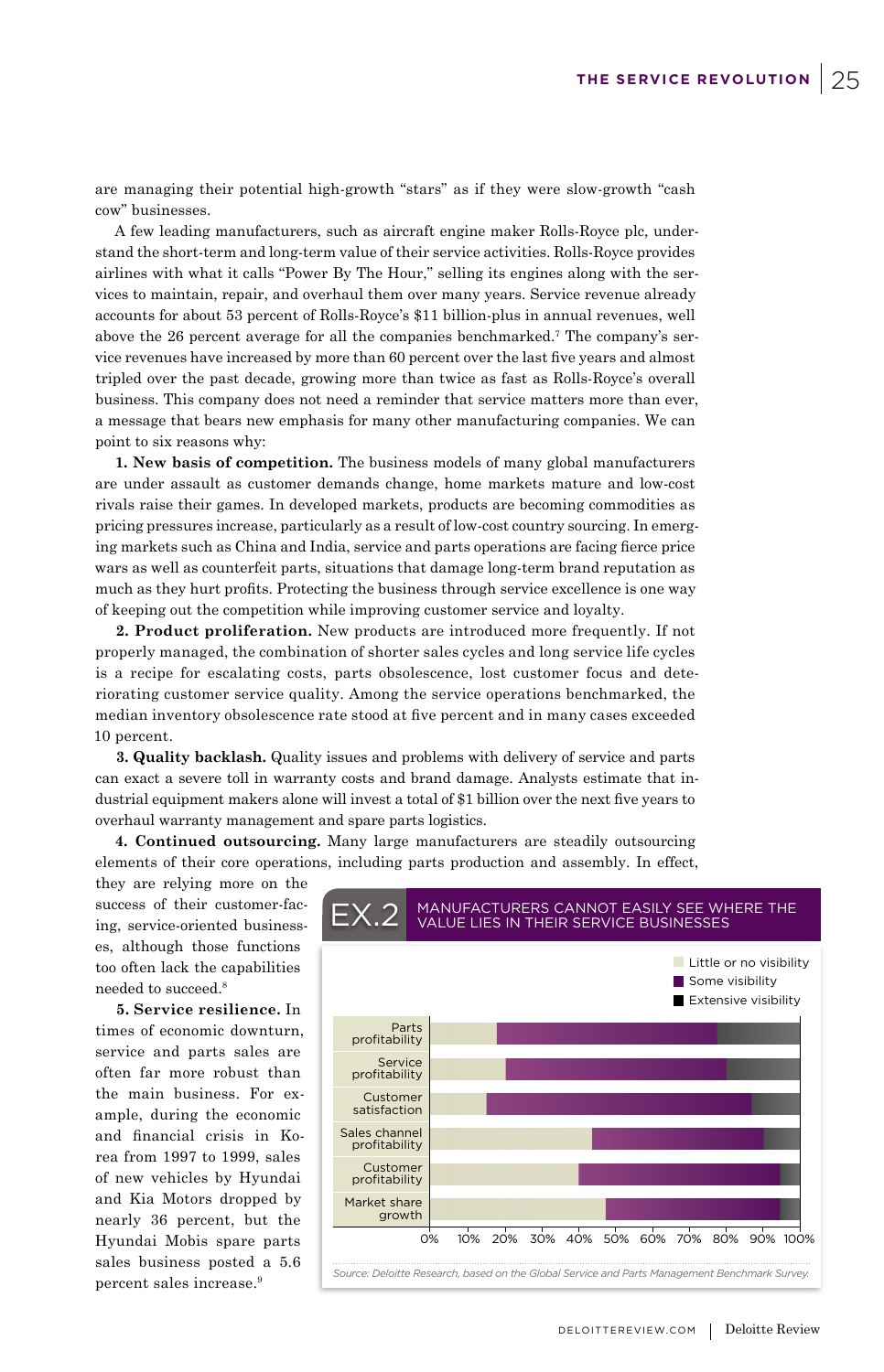are managing their potential high-growth "stars" as if they were slow-growth "cash cow" businesses.

A few leading manufacturers, such as aircraft engine maker Rolls-Royce plc, understand the short-term and long-term value of their service activities. Rolls-Royce provides airlines with what it calls "Power By The Hour," selling its engines along with the services to maintain, repair, and overhaul them over many years. Service revenue already accounts for about 53 percent of Rolls-Royce's \$11 billion-plus in annual revenues, well above the 26 percent average for all the companies benchmarked.7 The company's service revenues have increased by more than 60 percent over the last five years and almost tripled over the past decade, growing more than twice as fast as Rolls-Royce's overall business. This company does not need a reminder that service matters more than ever, a message that bears new emphasis for many other manufacturing companies. We can point to six reasons why:

**1. New basis of competition.** The business models of many global manufacturers are under assault as customer demands change, home markets mature and low-cost rivals raise their games. In developed markets, products are becoming commodities as pricing pressures increase, particularly as a result of low-cost country sourcing. In emerging markets such as China and India, service and parts operations are facing fierce price wars as well as counterfeit parts, situations that damage long-term brand reputation as much as they hurt profits. Protecting the business through service excellence is one way of keeping out the competition while improving customer service and loyalty.

**2. Product proliferation.** New products are introduced more frequently. If not properly managed, the combination of shorter sales cycles and long service life cycles is a recipe for escalating costs, parts obsolescence, lost customer focus and deteriorating customer service quality. Among the service operations benchmarked, the median inventory obsolescence rate stood at five percent and in many cases exceeded 10 percent.

**3. Quality backlash.** Quality issues and problems with delivery of service and parts can exact a severe toll in warranty costs and brand damage. Analysts estimate that industrial equipment makers alone will invest a total of \$1 billion over the next five years to overhaul warranty management and spare parts logistics.

**4. Continued outsourcing.** Many large manufacturers are steadily outsourcing elements of their core operations, including parts production and assembly. In effect,

they are relying more on the success of their customer-facing, service-oriented businesses, although those functions too often lack the capabilities needed to succeed.8

**5. Service resilience.** In times of economic downturn, service and parts sales are often far more robust than the main business. For example, during the economic and financial crisis in Korea from 1997 to 1999, sales of new vehicles by Hyundai and Kia Motors dropped by nearly 36 percent, but the Hyundai Mobis spare parts sales business posted a 5.6

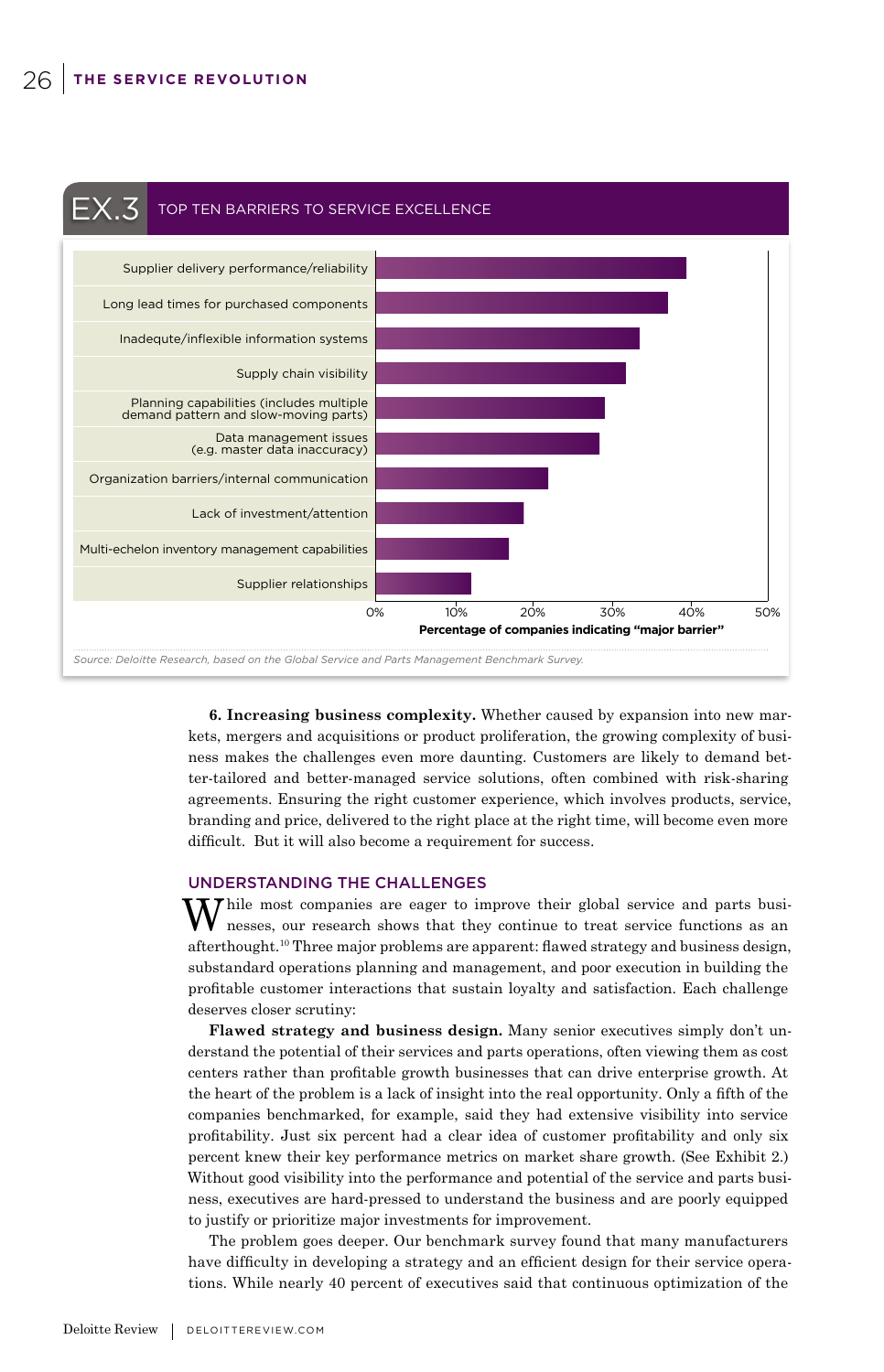



**6. Increasing business complexity.** Whether caused by expansion into new markets, mergers and acquisitions or product proliferation, the growing complexity of business makes the challenges even more daunting. Customers are likely to demand better-tailored and better-managed service solutions, often combined with risk-sharing agreements. Ensuring the right customer experience, which involves products, service, branding and price, delivered to the right place at the right time, will become even more difficult. But it will also become a requirement for success.

#### Understanding the Challenges

Thile most companies are eager to improve their global service and parts businesses, our research shows that they continue to treat service functions as an afterthought.10 Three major problems are apparent: flawed strategy and business design, substandard operations planning and management, and poor execution in building the profitable customer interactions that sustain loyalty and satisfaction. Each challenge deserves closer scrutiny:

**Flawed strategy and business design.** Many senior executives simply don't understand the potential of their services and parts operations, often viewing them as cost centers rather than profitable growth businesses that can drive enterprise growth. At the heart of the problem is a lack of insight into the real opportunity. Only a fifth of the companies benchmarked, for example, said they had extensive visibility into service profitability. Just six percent had a clear idea of customer profitability and only six percent knew their key performance metrics on market share growth. (See Exhibit 2.) Without good visibility into the performance and potential of the service and parts business, executives are hard-pressed to understand the business and are poorly equipped to justify or prioritize major investments for improvement.

The problem goes deeper. Our benchmark survey found that many manufacturers have difficulty in developing a strategy and an efficient design for their service operations. While nearly 40 percent of executives said that continuous optimization of the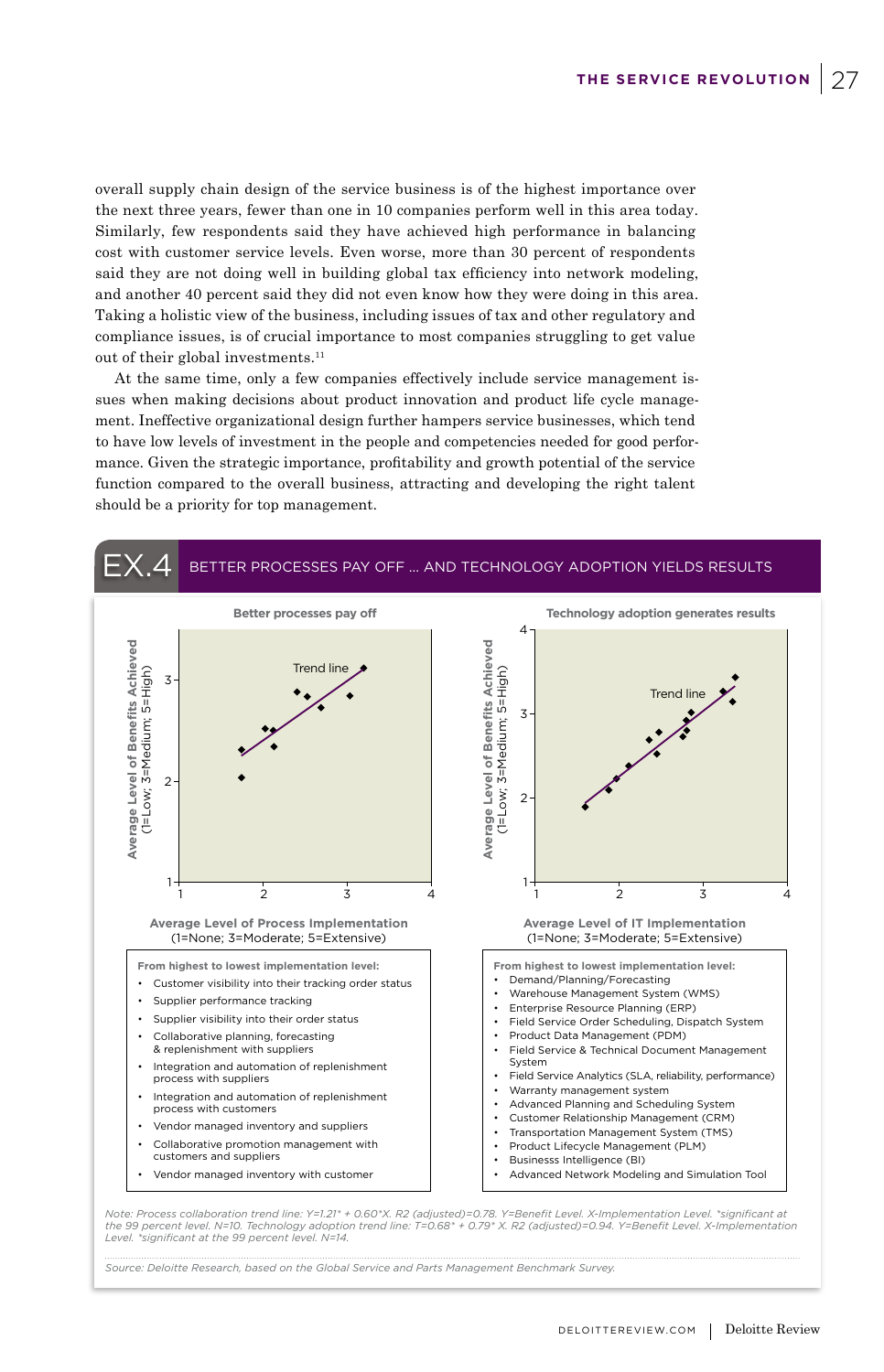overall supply chain design of the service business is of the highest importance over the next three years, fewer than one in 10 companies perform well in this area today. Similarly, few respondents said they have achieved high performance in balancing cost with customer service levels. Even worse, more than 30 percent of respondents said they are not doing well in building global tax efficiency into network modeling, and another 40 percent said they did not even know how they were doing in this area. Taking a holistic view of the business, including issues of tax and other regulatory and compliance issues, is of crucial importance to most companies struggling to get value out of their global investments.<sup>11</sup>

At the same time, only a few companies effectively include service management issues when making decisions about product innovation and product life cycle management. Ineffective organizational design further hampers service businesses, which tend to have low levels of investment in the people and competencies needed for good performance. Given the strategic importance, profitability and growth potential of the service function compared to the overall business, attracting and developing the right talent should be a priority for top management.



*Note: Process collaboration trend line: Y=1.21\* + 0.60\*X. R2 (adjusted)=0.78. Y=Benefit Level. X-Implementation Level. \*significant at the 99 percent level. N=10. Technology adoption trend line: T=0.68\* + 0.79\* X. R2 (adjusted)=0.94. Y=Benefit Level. X-Implementation Level. \*significant at the 99 percent level. N=14.*

*Source: Deloitte Research, based on the Global Service and Parts Management Benchmark Survey.*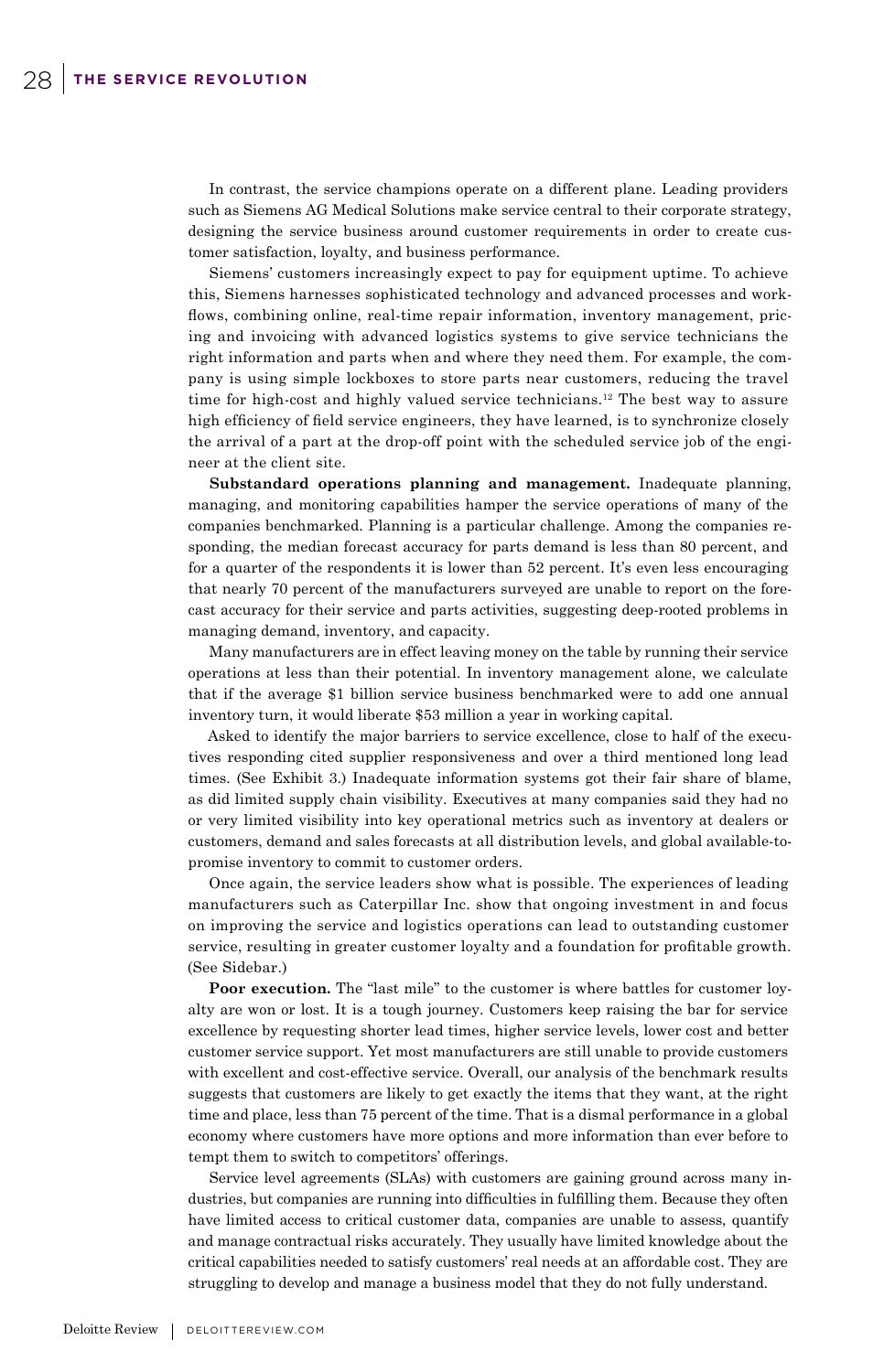In contrast, the service champions operate on a different plane. Leading providers such as Siemens AG Medical Solutions make service central to their corporate strategy, designing the service business around customer requirements in order to create customer satisfaction, loyalty, and business performance.

Siemens' customers increasingly expect to pay for equipment uptime. To achieve this, Siemens harnesses sophisticated technology and advanced processes and workflows, combining online, real-time repair information, inventory management, pricing and invoicing with advanced logistics systems to give service technicians the right information and parts when and where they need them. For example, the company is using simple lockboxes to store parts near customers, reducing the travel time for high-cost and highly valued service technicians.12 The best way to assure high efficiency of field service engineers, they have learned, is to synchronize closely the arrival of a part at the drop-off point with the scheduled service job of the engineer at the client site.

**Substandard operations planning and management.** Inadequate planning, managing, and monitoring capabilities hamper the service operations of many of the companies benchmarked. Planning is a particular challenge. Among the companies responding, the median forecast accuracy for parts demand is less than 80 percent, and for a quarter of the respondents it is lower than 52 percent. It's even less encouraging that nearly 70 percent of the manufacturers surveyed are unable to report on the forecast accuracy for their service and parts activities, suggesting deep-rooted problems in managing demand, inventory, and capacity.

Many manufacturers are in effect leaving money on the table by running their service operations at less than their potential. In inventory management alone, we calculate that if the average \$1 billion service business benchmarked were to add one annual inventory turn, it would liberate \$53 million a year in working capital.

Asked to identify the major barriers to service excellence, close to half of the executives responding cited supplier responsiveness and over a third mentioned long lead times. (See Exhibit 3.) Inadequate information systems got their fair share of blame, as did limited supply chain visibility. Executives at many companies said they had no or very limited visibility into key operational metrics such as inventory at dealers or customers, demand and sales forecasts at all distribution levels, and global available-topromise inventory to commit to customer orders.

Once again, the service leaders show what is possible. The experiences of leading manufacturers such as Caterpillar Inc. show that ongoing investment in and focus on improving the service and logistics operations can lead to outstanding customer service, resulting in greater customer loyalty and a foundation for profitable growth. (See Sidebar.)

**Poor execution.** The "last mile" to the customer is where battles for customer loyalty are won or lost. It is a tough journey. Customers keep raising the bar for service excellence by requesting shorter lead times, higher service levels, lower cost and better customer service support. Yet most manufacturers are still unable to provide customers with excellent and cost-effective service. Overall, our analysis of the benchmark results suggests that customers are likely to get exactly the items that they want, at the right time and place, less than 75 percent of the time. That is a dismal performance in a global economy where customers have more options and more information than ever before to tempt them to switch to competitors' offerings.

Service level agreements (SLAs) with customers are gaining ground across many industries, but companies are running into difficulties in fulfilling them. Because they often have limited access to critical customer data, companies are unable to assess, quantify and manage contractual risks accurately. They usually have limited knowledge about the critical capabilities needed to satisfy customers' real needs at an affordable cost. They are struggling to develop and manage a business model that they do not fully understand.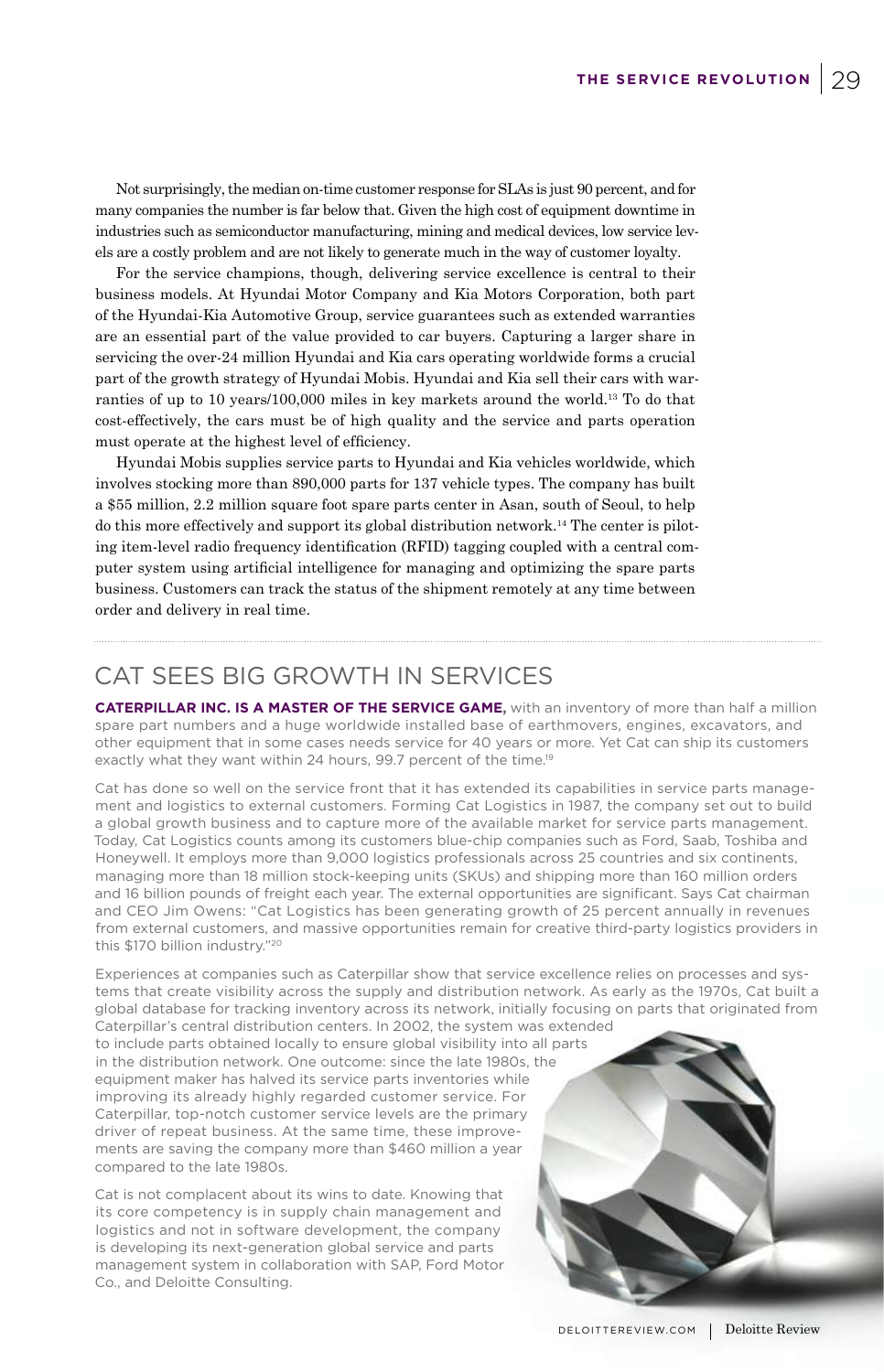Not surprisingly, the median on-time customer response for SLAs is just 90 percent, and for many companies the number is far below that. Given the high cost of equipment downtime in industries such as semiconductor manufacturing, mining and medical devices, low service levels are a costly problem and are not likely to generate much in the way of customer loyalty.

For the service champions, though, delivering service excellence is central to their business models. At Hyundai Motor Company and Kia Motors Corporation, both part of the Hyundai-Kia Automotive Group, service guarantees such as extended warranties are an essential part of the value provided to car buyers. Capturing a larger share in servicing the over-24 million Hyundai and Kia cars operating worldwide forms a crucial part of the growth strategy of Hyundai Mobis. Hyundai and Kia sell their cars with warranties of up to 10 years/100,000 miles in key markets around the world.<sup>13</sup> To do that cost-effectively, the cars must be of high quality and the service and parts operation must operate at the highest level of efficiency.

Hyundai Mobis supplies service parts to Hyundai and Kia vehicles worldwide, which involves stocking more than 890,000 parts for 137 vehicle types. The company has built a \$55 million, 2.2 million square foot spare parts center in Asan, south of Seoul, to help do this more effectively and support its global distribution network.14 The center is piloting item-level radio frequency identification (RFID) tagging coupled with a central computer system using artificial intelligence for managing and optimizing the spare parts business. Customers can track the status of the shipment remotely at any time between order and delivery in real time.

## Cat Sees Big Growth in Services

**Caterpillar Inc. is a master of the service game,** with an inventory of more than half a million spare part numbers and a huge worldwide installed base of earthmovers, engines, excavators, and other equipment that in some cases needs service for 40 years or more. Yet Cat can ship its customers exactly what they want within 24 hours, 99.7 percent of the time.<sup>19</sup>

Cat has done so well on the service front that it has extended its capabilities in service parts management and logistics to external customers. Forming Cat Logistics in 1987, the company set out to build a global growth business and to capture more of the available market for service parts management. Today, Cat Logistics counts among its customers blue-chip companies such as Ford, Saab, Toshiba and Honeywell. It employs more than 9,000 logistics professionals across 25 countries and six continents, managing more than 18 million stock-keeping units (SKUs) and shipping more than 160 million orders and 16 billion pounds of freight each year. The external opportunities are significant. Says Cat chairman and CEO Jim Owens: "Cat Logistics has been generating growth of 25 percent annually in revenues from external customers, and massive opportunities remain for creative third-party logistics providers in this \$170 billion industry."20

Experiences at companies such as Caterpillar show that service excellence relies on processes and systems that create visibility across the supply and distribution network. As early as the 1970s, Cat built a global database for tracking inventory across its network, initially focusing on parts that originated from Caterpillar's central distribution centers. In 2002, the system was extended

to include parts obtained locally to ensure global visibility into all parts in the distribution network. One outcome: since the late 1980s, the equipment maker has halved its service parts inventories while improving its already highly regarded customer service. For Caterpillar, top-notch customer service levels are the primary driver of repeat business. At the same time, these improvements are saving the company more than \$460 million a year compared to the late 1980s.

Cat is not complacent about its wins to date. Knowing that its core competency is in supply chain management and logistics and not in software development, the company is developing its next-generation global service and parts management system in collaboration with SAP, Ford Motor Co., and Deloitte Consulting.

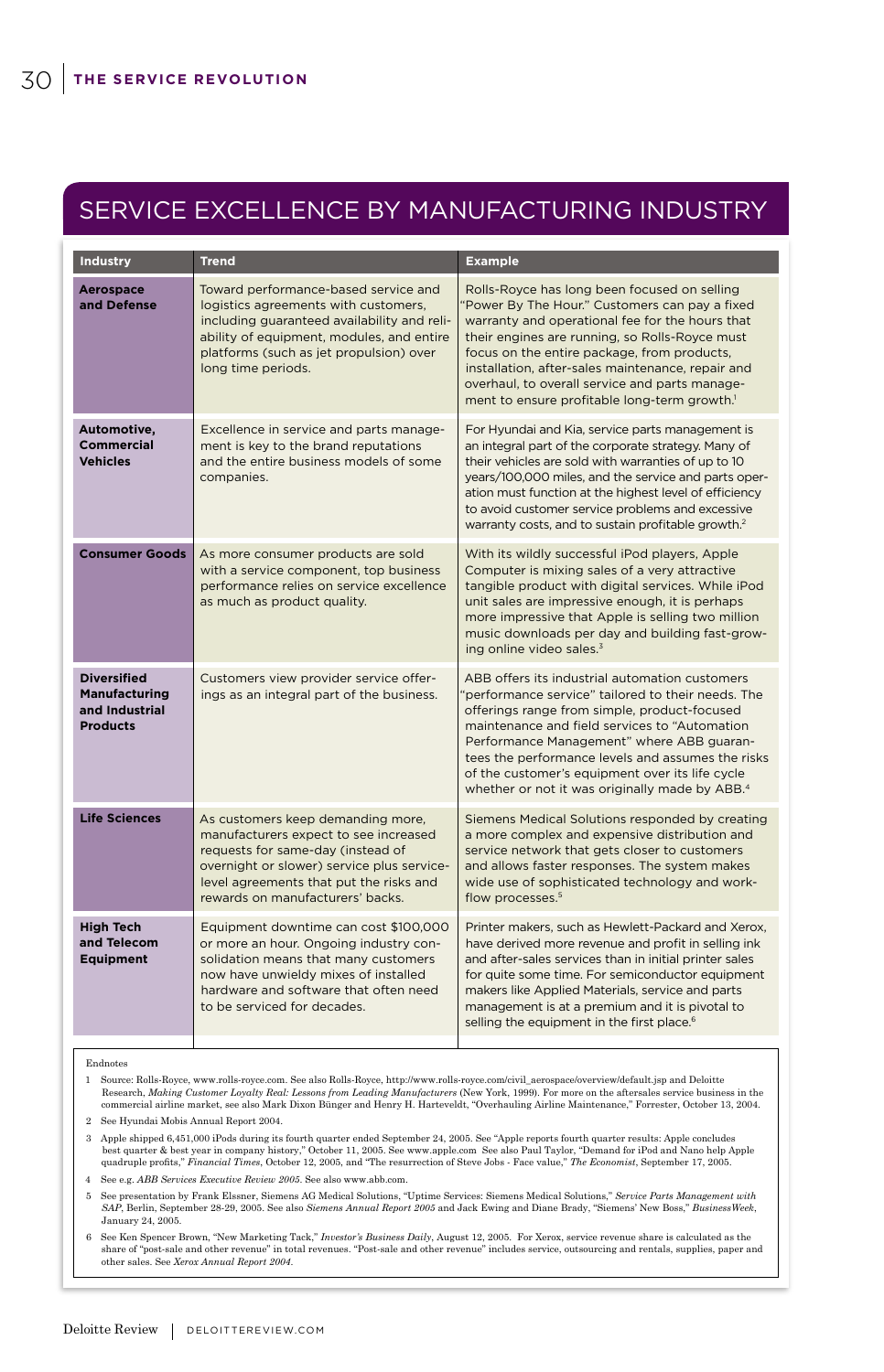## Service excellence by manufacturing industry

| <b>Industry</b>                                                                 | <b>Trend</b>                                                                                                                                                                                                                                 | <b>Example</b>                                                                                                                                                                                                                                                                                                                                                                                                          |
|---------------------------------------------------------------------------------|----------------------------------------------------------------------------------------------------------------------------------------------------------------------------------------------------------------------------------------------|-------------------------------------------------------------------------------------------------------------------------------------------------------------------------------------------------------------------------------------------------------------------------------------------------------------------------------------------------------------------------------------------------------------------------|
| Aerospace<br>and Defense                                                        | Toward performance-based service and<br>logistics agreements with customers,<br>including guaranteed availability and reli-<br>ability of equipment, modules, and entire<br>platforms (such as jet propulsion) over<br>long time periods.    | Rolls-Royce has long been focused on selling<br>'Power By The Hour." Customers can pay a fixed<br>warranty and operational fee for the hours that<br>their engines are running, so Rolls-Royce must<br>focus on the entire package, from products,<br>installation, after-sales maintenance, repair and<br>overhaul, to overall service and parts manage-<br>ment to ensure profitable long-term growth. <sup>1</sup>   |
| Automotive,<br><b>Commercial</b><br><b>Vehicles</b>                             | Excellence in service and parts manage-<br>ment is key to the brand reputations<br>and the entire business models of some<br>companies.                                                                                                      | For Hyundai and Kia, service parts management is<br>an integral part of the corporate strategy. Many of<br>their vehicles are sold with warranties of up to 10<br>years/100,000 miles, and the service and parts oper-<br>ation must function at the highest level of efficiency<br>to avoid customer service problems and excessive<br>warranty costs, and to sustain profitable growth. <sup>2</sup>                  |
| <b>Consumer Goods</b>                                                           | As more consumer products are sold<br>with a service component, top business<br>performance relies on service excellence<br>as much as product quality.                                                                                      | With its wildly successful iPod players, Apple<br>Computer is mixing sales of a very attractive<br>tangible product with digital services. While iPod<br>unit sales are impressive enough, it is perhaps<br>more impressive that Apple is selling two million<br>music downloads per day and building fast-grow-<br>ing online video sales. <sup>3</sup>                                                                |
| <b>Diversified</b><br><b>Manufacturing</b><br>and Industrial<br><b>Products</b> | Customers view provider service offer-<br>ings as an integral part of the business.                                                                                                                                                          | ABB offers its industrial automation customers<br>performance service" tailored to their needs. The<br>offerings range from simple, product-focused<br>maintenance and field services to "Automation<br>Performance Management" where ABB guaran-<br>tees the performance levels and assumes the risks<br>of the customer's equipment over its life cycle<br>whether or not it was originally made by ABB. <sup>4</sup> |
| <b>Life Sciences</b>                                                            | As customers keep demanding more,<br>manufacturers expect to see increased<br>requests for same-day (instead of<br>overnight or slower) service plus service-<br>level agreements that put the risks and<br>rewards on manufacturers' backs. | Siemens Medical Solutions responded by creating<br>a more complex and expensive distribution and<br>service network that gets closer to customers<br>and allows faster responses. The system makes<br>wide use of sophisticated technology and work-<br>flow processes. <sup>5</sup>                                                                                                                                    |
| <b>High Tech</b><br>and Telecom<br><b>Equipment</b>                             | Equipment downtime can cost \$100,000<br>or more an hour. Ongoing industry con-<br>solidation means that many customers<br>now have unwieldy mixes of installed<br>hardware and software that often need<br>to be serviced for decades.      | Printer makers, such as Hewlett-Packard and Xerox,<br>have derived more revenue and profit in selling ink<br>and after-sales services than in initial printer sales<br>for quite some time. For semiconductor equipment<br>makers like Applied Materials, service and parts<br>management is at a premium and it is pivotal to<br>selling the equipment in the first place. <sup>6</sup>                                |

Endnotes

1 Source: Rolls-Royce, www.rolls-royce.com. See also Rolls-Royce, http://www.rolls-royce.com/civil\_aerospace/overview/default.jsp and Deloitte Research, *Making Customer Loyalty Real: Lessons from Leading Manufacturers* (New York, 1999). For more on the aftersales service business in the<br>commercial airline market, see also Mark Dixon Bünger and Henry H. Harteveld

2 See Hyundai Mobis Annual Report 2004.

3 Apple shipped 6,451,000 iPods during its fourth quarter ended September 24, 2005. See "Apple reports fourth quarter results: Apple concludes<br>best quarter to be best quarter & best year in company history," October 11, 20

4 See e.g. *ABB Services Executive Review 2005*. See also www.abb.com.

5 See presentation by Frank Elssner, Siemens AG Medical Solutions, "Uptime Services: Siemens Medical Solutions," Service Parts Management with SAP, Berlin, September 28-29, 2005. See also Siemens Annual Report 2005 and Jac January 24, 2005.

6 See Ken Spencer Brown, "New Marketing Tack," *Investor's Business Daily*, August 12, 2005. For Xerox, service revenue share is calculated as the<br>share of "post-sale and other revenue" in total revenues. "Post-sale and ot other sales. See *Xerox Annual Report 2004*.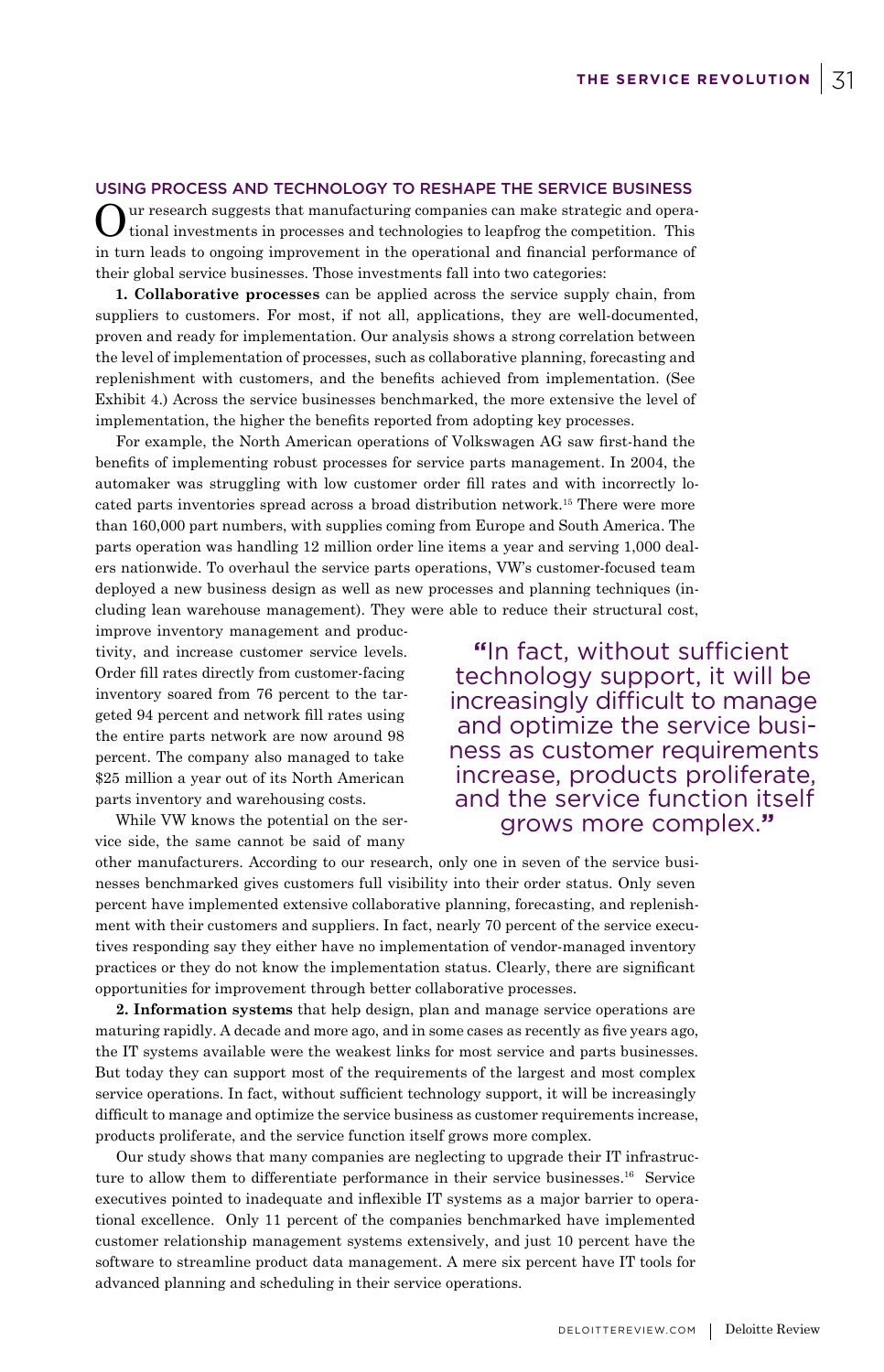## Using Process and Technology to Reshape the Service Business

ur research suggests that manufacturing companies can make strategic and operational investments in processes and technologies to leapfrog the competition. This in turn leads to ongoing improvement in the operational and financial performance of their global service businesses. Those investments fall into two categories:

**1. Collaborative processes** can be applied across the service supply chain, from suppliers to customers. For most, if not all, applications, they are well-documented, proven and ready for implementation. Our analysis shows a strong correlation between the level of implementation of processes, such as collaborative planning, forecasting and replenishment with customers, and the benefits achieved from implementation. (See Exhibit 4.) Across the service businesses benchmarked, the more extensive the level of implementation, the higher the benefits reported from adopting key processes.

For example, the North American operations of Volkswagen AG saw first-hand the benefits of implementing robust processes for service parts management. In 2004, the automaker was struggling with low customer order fill rates and with incorrectly located parts inventories spread across a broad distribution network.15 There were more than 160,000 part numbers, with supplies coming from Europe and South America. The parts operation was handling 12 million order line items a year and serving 1,000 dealers nationwide. To overhaul the service parts operations, VW's customer-focused team deployed a new business design as well as new processes and planning techniques (including lean warehouse management). They were able to reduce their structural cost,

improve inventory management and productivity, and increase customer service levels. Order fill rates directly from customer-facing inventory soared from 76 percent to the targeted 94 percent and network fill rates using the entire parts network are now around 98 percent. The company also managed to take \$25 million a year out of its North American parts inventory and warehousing costs.

While VW knows the potential on the service side, the same cannot be said of many

**"**In fact, without sufficient technology support, it will be increasingly difficult to manage and optimize the service business as customer requirements increase, products proliferate, and the service function itself grows more complex.**"**

other manufacturers. According to our research, only one in seven of the service businesses benchmarked gives customers full visibility into their order status. Only seven percent have implemented extensive collaborative planning, forecasting, and replenishment with their customers and suppliers. In fact, nearly 70 percent of the service executives responding say they either have no implementation of vendor-managed inventory practices or they do not know the implementation status. Clearly, there are significant opportunities for improvement through better collaborative processes.

**2. Information systems** that help design, plan and manage service operations are maturing rapidly. A decade and more ago, and in some cases as recently as five years ago, the IT systems available were the weakest links for most service and parts businesses. But today they can support most of the requirements of the largest and most complex service operations. In fact, without sufficient technology support, it will be increasingly difficult to manage and optimize the service business as customer requirements increase, products proliferate, and the service function itself grows more complex.

Our study shows that many companies are neglecting to upgrade their IT infrastructure to allow them to differentiate performance in their service businesses.<sup>16</sup> Service executives pointed to inadequate and inflexible IT systems as a major barrier to operational excellence. Only 11 percent of the companies benchmarked have implemented customer relationship management systems extensively, and just 10 percent have the software to streamline product data management. A mere six percent have IT tools for advanced planning and scheduling in their service operations.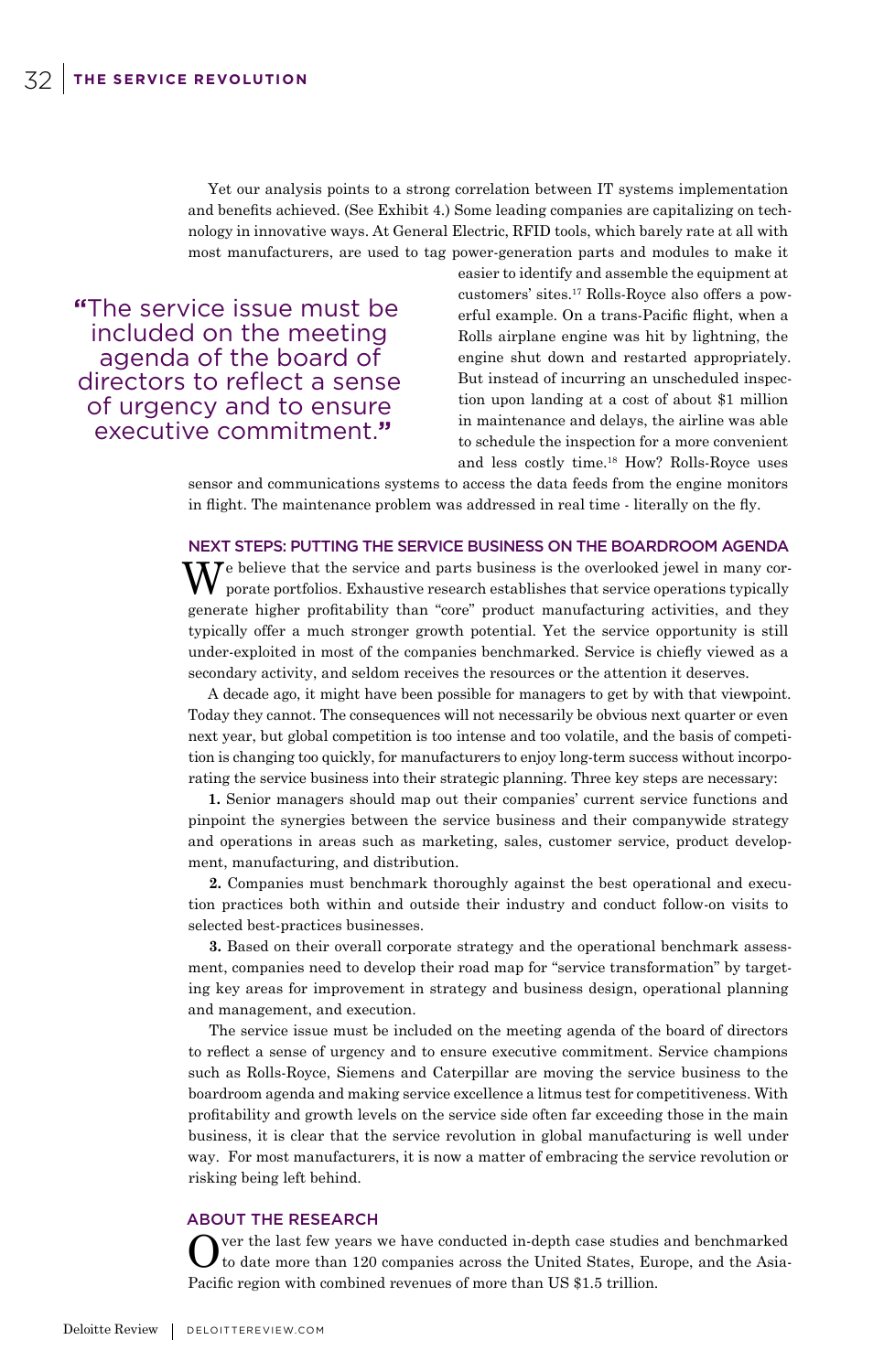Yet our analysis points to a strong correlation between IT systems implementation and benefits achieved. (See Exhibit 4.) Some leading companies are capitalizing on technology in innovative ways. At General Electric, RFID tools, which barely rate at all with most manufacturers, are used to tag power-generation parts and modules to make it

**"**The service issue must be included on the meeting agenda of the board of directors to reflect a sense of urgency and to ensure executive commitment.**"**

easier to identify and assemble the equipment at customers' sites.17 Rolls-Royce also offers a powerful example. On a trans-Pacific flight, when a Rolls airplane engine was hit by lightning, the engine shut down and restarted appropriately. But instead of incurring an unscheduled inspection upon landing at a cost of about \$1 million in maintenance and delays, the airline was able to schedule the inspection for a more convenient and less costly time.18 How? Rolls-Royce uses

sensor and communications systems to access the data feeds from the engine monitors in flight. The maintenance problem was addressed in real time - literally on the fly.

Next Steps: Putting the service business on the boardroom agenda  $\mathcal T$ e believe that the service and parts business is the overlooked jewel in many corporate portfolios. Exhaustive research establishes that service operations typically generate higher profitability than "core" product manufacturing activities, and they typically offer a much stronger growth potential. Yet the service opportunity is still under-exploited in most of the companies benchmarked. Service is chiefly viewed as a secondary activity, and seldom receives the resources or the attention it deserves.

A decade ago, it might have been possible for managers to get by with that viewpoint. Today they cannot. The consequences will not necessarily be obvious next quarter or even next year, but global competition is too intense and too volatile, and the basis of competition is changing too quickly, for manufacturers to enjoy long-term success without incorporating the service business into their strategic planning. Three key steps are necessary:

**1.** Senior managers should map out their companies' current service functions and pinpoint the synergies between the service business and their companywide strategy and operations in areas such as marketing, sales, customer service, product development, manufacturing, and distribution.

**2.** Companies must benchmark thoroughly against the best operational and execution practices both within and outside their industry and conduct follow-on visits to selected best-practices businesses.

**3.** Based on their overall corporate strategy and the operational benchmark assessment, companies need to develop their road map for "service transformation" by targeting key areas for improvement in strategy and business design, operational planning and management, and execution.

The service issue must be included on the meeting agenda of the board of directors to reflect a sense of urgency and to ensure executive commitment. Service champions such as Rolls-Royce, Siemens and Caterpillar are moving the service business to the boardroom agenda and making service excellence a litmus test for competitiveness. With profitability and growth levels on the service side often far exceeding those in the main business, it is clear that the service revolution in global manufacturing is well under way. For most manufacturers, it is now a matter of embracing the service revolution or risking being left behind.

## About the Research

ver the last few years we have conducted in-depth case studies and benchmarked to date more than 120 companies across the United States, Europe, and the Asia-Pacific region with combined revenues of more than US \$1.5 trillion.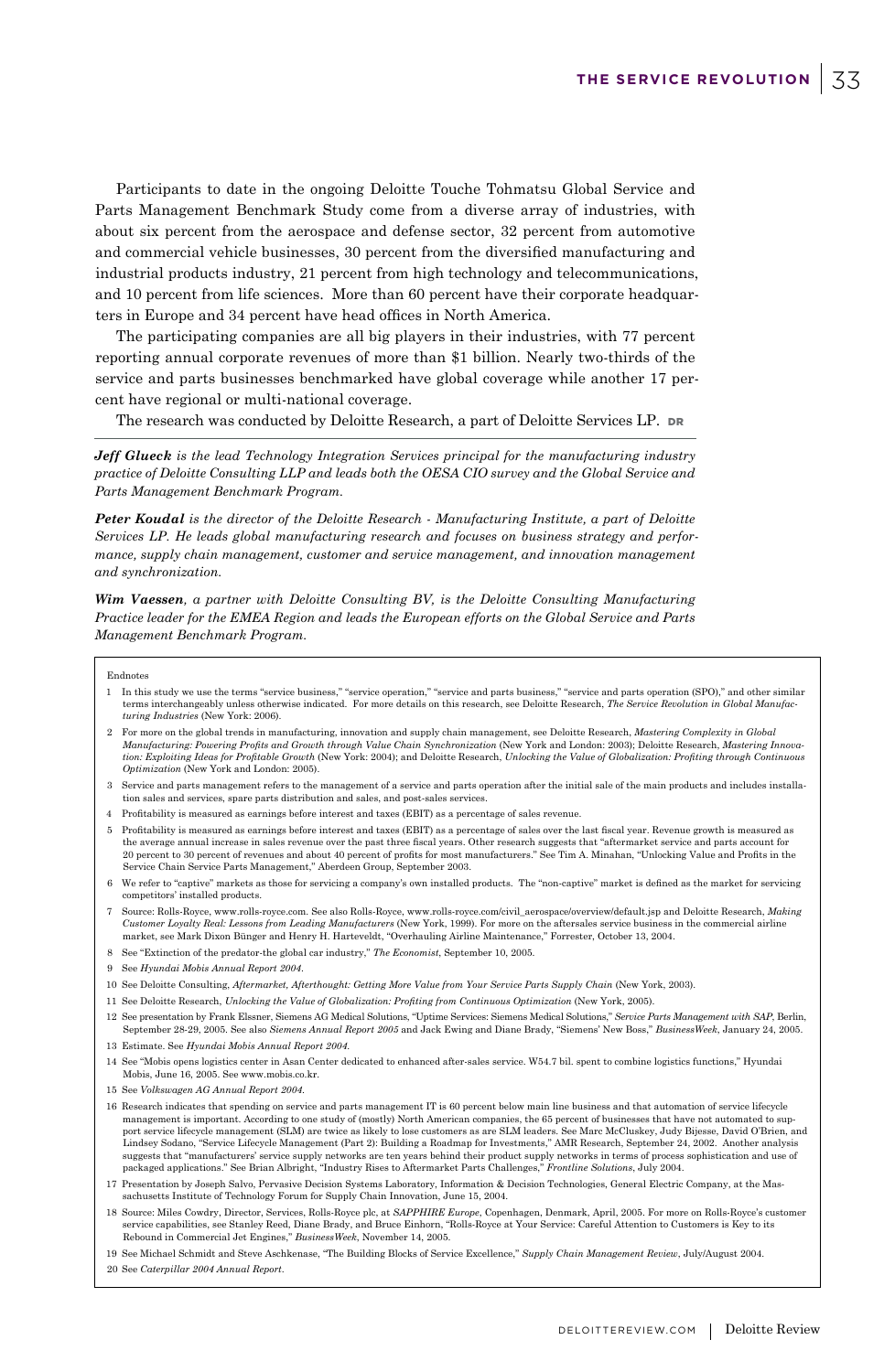Participants to date in the ongoing Deloitte Touche Tohmatsu Global Service and Parts Management Benchmark Study come from a diverse array of industries, with about six percent from the aerospace and defense sector, 32 percent from automotive and commercial vehicle businesses, 30 percent from the diversified manufacturing and industrial products industry, 21 percent from high technology and telecommunications, and 10 percent from life sciences. More than 60 percent have their corporate headquarters in Europe and 34 percent have head offices in North America.

The participating companies are all big players in their industries, with 77 percent reporting annual corporate revenues of more than \$1 billion. Nearly two-thirds of the service and parts businesses benchmarked have global coverage while another 17 percent have regional or multi-national coverage.

The research was conducted by Deloitte Research, a part of Deloitte Services LP. DR

*Jeff Glueck is the lead Technology Integration Services principal for the manufacturing industry practice of Deloitte Consulting LLP and leads both the OESA CIO survey and the Global Service and Parts Management Benchmark Program.*

*Peter Koudal is the director of the Deloitte Research - Manufacturing Institute, a part of Deloitte Services LP. He leads global manufacturing research and focuses on business strategy and performance, supply chain management, customer and service management, and innovation management and synchronization.* 

*Wim Vaessen, a partner with Deloitte Consulting BV, is the Deloitte Consulting Manufacturing Practice leader for the EMEA Region and leads the European efforts on the Global Service and Parts Management Benchmark Program.*

#### Endnotes

- 1 In this study we use the terms "service business," "service operation," "service and parts business," "service and parts operation (SPO)," and other similar terms interchangeably unless otherwise indicated. For more details on this research, see Deloitte Research, *The Service Revolution in Global Manufacturing Industries* (New York: 2006).
- 2 For more on the global trends in manufacturing, innovation and supply chain management, see Deloitte Research, *Mastering Complexity in Global Manufacturing: Powering Profits and Growth through Value Chain Synchronization* (New York and London: 2003); Deloitte Research, *Mastering Innovation: Exploiting Ideas for Profitable Growth* (New York: 2004); and Deloitte Research, *Unlocking the Value of Globalization: Profiting through Continuous Optimization* (New York and London: 2005).
- 3 Service and parts management refers to the management of a service and parts operation after the initial sale of the main products and includes installation sales and services, spare parts distribution and sales, and post-sales services.
- 4 Profitability is measured as earnings before interest and taxes (EBIT) as a percentage of sales revenue.
- 5 Profitability is measured as earnings before interest and taxes (EBIT) as a percentage of sales over the last fiscal year. Revenue growth is measured as the average annual increase in sales revenue over the past three fiscal years. Other research suggests that "aftermarket service and parts account for 20 percent to 30 percent of revenues and about 40 percent of profits for most manufacturers." See Tim A. Minahan, "Unlocking Value and Profits in the Service Chain Service Parts Management," Aberdeen Group, September 2003.
- 6 We refer to "captive" markets as those for servicing a company's own installed products. The "non-captive" market is defined as the market for servicing competitors' installed products.
- 7 Source: Rolls-Royce, www.rolls-royce.com. See also Rolls-Royce, www.rolls-royce.com/civil\_aerospace/overview/default.jsp and Deloitte Research, *Making Customer Loyalty Real: Lessons from Leading Manufacturers* (New York, 1999). For more on the aftersales service business in the commercial airline market, see Mark Dixon Bünger and Henry H. Harteveldt, "Overhauling Airline Maintenance," Forrester, October 13, 2004.
- 8 See "Extinction of the predator-the global car industry," *The Economist*, September 10, 2005.
- 9 See *Hyundai Mobis Annual Report 2004*.
- 10 See Deloitte Consulting, *Aftermarket, Afterthought: Getting More Value from Your Service Parts Supply Chain* (New York, 2003).
- 11 See Deloitte Research, *Unlocking the Value of Globalization: Profiting from Continuous Optimization* (New York, 2005).
- 12 See presentation by Frank Elssner, Siemens AG Medical Solutions, "Uptime Services: Siemens Medical Solutions," *Service Parts Management with SAP*, Berlin, September 28-29, 2005. See also *Siemens Annual Report 2005* and Jack Ewing and Diane Brady, "Siemens' New Boss," *BusinessWeek*, January 24, 2005.
- 13 Estimate. See *Hyundai Mobis Annual Report 2004*.
- 14 See "Mobis opens logistics center in Asan Center dedicated to enhanced after-sales service. W54.7 bil. spent to combine logistics functions," Hyundai Mobis, June 16, 2005. See www.mobis.co.kr.
- 15 See *Volkswagen AG Annual Report 2004*.
- 16 Research indicates that spending on service and parts management IT is 60 percent below main line business and that automation of service lifecycle management is important. According to one study of (mostly) North American companies, the 65 percent of businesses that have not automated to sup-<br>port service lifecycle management (SLM) are twice as likely to lose custome Lindsey Sodano, "Service Lifecycle Management (Part 2): Building a Roadmap for Investments," AMR Research, September 24, 2002. Another analysis suggests that "manufacturers' service supply networks are ten years behind their product supply networks in terms of process sophistication and use of<br>packaged applications." See Brian Albright, "Industry Rises to Aftermar
- 17 Presentation by Joseph Salvo, Pervasive Decision Systems Laboratory, Information & Decision Technologies, General Electric Company, at the Massachusetts Institute of Technology Forum for Supply Chain Innovation, June 15, 2004.
- 18 Source: Miles Cowdry, Director, Services, Rolls-Royce plc, at *SAPPHIRE Europe*, Copenhagen, Denmark, April, 2005. For more on Rolls-Royce's customer service capabilities, see Stanley Reed, Diane Brady, and Bruce Einhorn, "Rolls-Royce at Your Service: Careful Attention to Customers is Key to its Rebound in Commercial Jet Engines," *BusinessWeek*, November 14, 2005.
- 19 See Michael Schmidt and Steve Aschkenase, "The Building Blocks of Service Excellence," *Supply Chain Management Review*, July/August 2004.
- 20 See *Caterpillar 2004 Annual Report*.